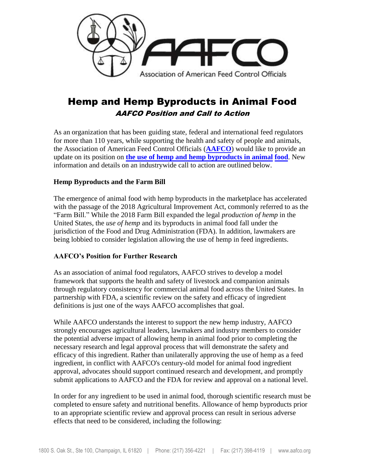

# Hemp and Hemp Byproducts in Animal Food AAFCO Position and Call to Action

As an organization that has been guiding state, federal and international feed regulators for more than 110 years, while supporting the health and safety of people and animals, the Association of American Feed Control Officials (**[AAFCO](https://www.aafco.org/Portals/0/SiteContent/Announcements/Guidelines_on_Hemp_in_Animal_Food_July_2020.pdf)**) would like to provide an update on its position on **the use of [hemp and hemp byproducts in animal](https://www.aafco.org/Portals/0/SiteContent/Announcements/Guidelines_on_Hemp_in_Animal_Food_July_2020.pdf) food**. New [inform](https://www.aafco.org/Portals/0/SiteContent/Announcements/Guidelines_on_Hemp_in_Animal_Food_July_2020.pdf)ation and details on an industrywide call to action are outlined below.

### **Hemp Byproducts and the Farm Bill**

The emergence of animal food with hemp byproducts in the marketplace has accelerated with the passage of the 2018 Agricultural Improvement Act, commonly referred to as the "Farm Bill." While the 2018 Farm Bill expanded the legal *production of hemp* in the United States, the *use of hemp* and its byproducts in animal food fall under the jurisdiction of the Food and Drug Administration (FDA). In addition, lawmakers are being lobbied to consider legislation allowing the use of hemp in feed ingredients.

### **AAFCO's Position for Further Research**

As an association of animal food regulators, AAFCO strives to develop a model framework that supports the health and safety of livestock and companion animals through regulatory consistency for commercial animal food across the United States. In partnership with FDA, a scientific review on the safety and efficacy of ingredient definitions is just one of the ways AAFCO accomplishes that goal.

While AAFCO understands the interest to support the new hemp industry, AAFCO strongly encourages agricultural leaders, lawmakers and industry members to consider the potential adverse impact of allowing hemp in animal food prior to completing the necessary research and legal approval process that will demonstrate the safety and efficacy of this ingredient. Rather than unilaterally approving the use of hemp as a feed ingredient, in conflict with AAFCO's century-old model for animal food ingredient approval, advocates should support continued research and development, and promptly submit applications to AAFCO and the FDA for review and approval on a national level.

In order for any ingredient to be used in animal food, thorough scientific research must be completed to ensure safety and nutritional benefits. Allowance of hemp byproducts prior to an appropriate scientific review and approval process can result in serious adverse effects that need to be considered, including the following: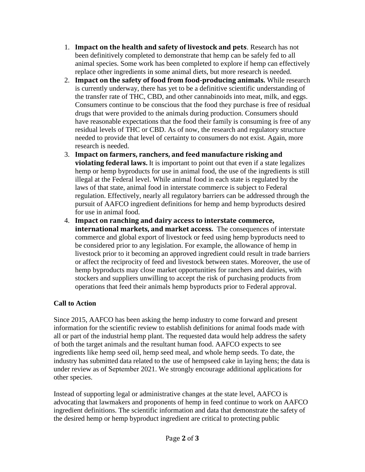- 1. **Impact on the health and safety of livestock and pets**. Research has not been definitively completed to demonstrate that hemp can be safely fed to all animal species. Some work has been completed to explore if hemp can effectively replace other ingredients in some animal diets, but more research is needed.
- 2. **Impact on the safety of food from food-producing animals.** While research is currently underway, there has yet to be a definitive scientific understanding of the transfer rate of THC, CBD, and other cannabinoids into meat, milk, and eggs. Consumers continue to be conscious that the food they purchase is free of residual drugs that were provided to the animals during production. Consumers should have reasonable expectations that the food their family is consuming is free of any residual levels of THC or CBD. As of now, the research and regulatory structure needed to provide that level of certainty to consumers do not exist. Again, more research is needed.
- 3. **Impact on farmers, ranchers, and feed manufacture risking and violating federal laws.** It is important to point out that even if a state legalizes hemp or hemp byproducts for use in animal food, the use of the ingredients is still illegal at the Federal level. While animal food in each state is regulated by the laws of that state, animal food in interstate commerce is subject to Federal regulation. Effectively, nearly all regulatory barriers can be addressed through the pursuit of AAFCO ingredient definitions for hemp and hemp byproducts desired for use in animal food.
- 4. **Impact on ranching and dairy access to interstate commerce, international markets, and market access.** The consequences of interstate commerce and global export of livestock or feed using hemp byproducts need to be considered prior to any legislation. For example, the allowance of hemp in livestock prior to it becoming an approved ingredient could result in trade barriers or affect the reciprocity of feed and livestock between states. Moreover, the use of hemp byproducts may close market opportunities for ranchers and dairies, with stockers and suppliers unwilling to accept the risk of purchasing products from operations that feed their animals hemp byproducts prior to Federal approval.

## **Call to Action**

Since 2015, AAFCO has been asking the hemp industry to come forward and present information for the scientific review to establish definitions for animal foods made with all or part of the industrial hemp plant. The requested data would help address the safety of both the target animals and the resultant human food. AAFCO expects to see ingredients like hemp seed oil, hemp seed meal, and whole hemp seeds. To date, the industry has submitted data related to the use of hempseed cake in laying hens; the data is under review as of September 2021. We strongly encourage additional applications for other species.

Instead of supporting legal or administrative changes at the state level, AAFCO is advocating that lawmakers and proponents of hemp in feed continue to work on AAFCO ingredient definitions. The scientific information and data that demonstrate the safety of the desired hemp or hemp byproduct ingredient are critical to protecting public